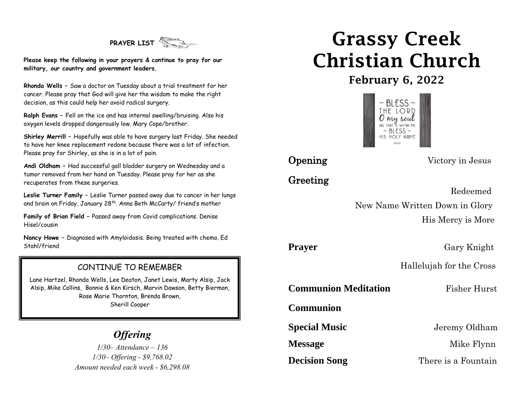# **PRAYER LIST**

**Please keep the following in your prayers & continue to pray for our military, our country and government leaders.**

**Rhonda Wells –** Saw a doctor on Tuesday about a trial treatment for her cancer. Please pray that God will give her the wisdom to make the right decision, as this could help her avoid radical surgery.

**Ralph Evans –** Fell on the ice and has internal swelling/bruising. Also his oxygen levels dropped dangerously low. Mary Cope/brother.

**Shirley Merrill –** Hopefully was able to have surgery last Friday. She needed to have her knee replacement redone because there was a lot of infection. Please pray for Shirley, as she is in a lot of pain.

**Andi Oldham –** Had successful gall bladder surgery on Wednesday and a tumor removed from her hand on Tuesday. Please pray for her as she recuperates from these surgeries.

**Leslie Turner Family –** Leslie Turner passed away due to cancer in her lungs and brain on Friday, January 28<sup>th</sup>. Anna Beth McCarty/ friend's mother

**Family of Brian Field –** Passed away from Covid complications. Denise Hisel/cousin

**Nancy Howe –** Diagnosed with Amyloidosis. Being treated with chemo. Ed Stahl/friend

## CONTINUE TO REMEMBER

Lane Hartzel, Rhonda Wells, Lee Deaton, Janet Lewis, Marty Alsip, Jack Alsip, Mike Collins, Bonnie & Ken Kirsch, Marvin Dawson, Betty Bierman, Rose Marie Thornton, Brenda Brown, Sherill Cooper

## *Offering*

ֺ֘֒

*1/30– Attendance – 136 1/30– Offering - \$9,768.02 Amount needed each week - \$6,298.08*

# Grassy Creek Christian Church

February 6, 2022



Greeting

**Opening** Victory in Jesus

 Redeemed New Name Written Down in Glory His Mercy is More

**Prayer** Gary Knight

Hallelujah for the Cross

**Communion Meditation** Fisher Hurst

**Communion** 

**Special Music** Jeremy Oldham

**Message** Mike Flynn

**Decision Song** There is a Fountain